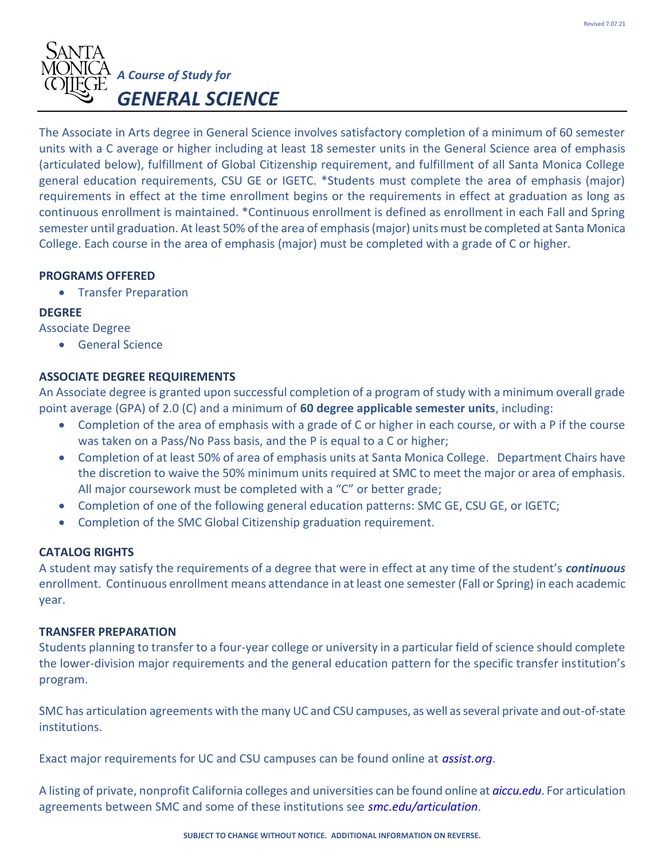

The Associate in Arts degree in General Science involves satisfactory completion of a minimum of 60 semester units with a C average or higher including at least 18 semester units in the General Science area of emphasis (articulated below), fulfillment of Global Citizenship requirement, and fulfillment of all Santa Monica College general education requirements, CSU GE or IGETC. \*Students must complete the area of emphasis (major) requirements in effect at the time enrollment begins or the requirements in effect at graduation as long as continuous enrollment is maintained. \*Continuous enrollment is defined as enrollment in each Fall and Spring semester until graduation. At least 50% of the area of emphasis (major) units must be completed at Santa Monica College. Each course in the area of emphasis (major) must be completed with a grade of C or higher.

## **PROGRAMS OFFERED**

• Transfer Preparation

## **DEGREE**

Associate Degree

• General Science

# **ASSOCIATE DEGREE REQUIREMENTS**

An Associate degree is granted upon successful completion of a program of study with a minimum overall grade point average (GPA) of 2.0 (C) and a minimum of **60 degree applicable semester units**, including:

- Completion of the area of emphasis with a grade of C or higher in each course, or with a P if the course was taken on a Pass/No Pass basis, and the P is equal to a C or higher;
- Completion of at least 50% of area of emphasis units at Santa Monica College. Department Chairs have the discretion to waive the 50% minimum units required at SMC to meet the major or area of emphasis. All major coursework must be completed with a "C" or better grade;
- Completion of one of the following general education patterns: SMC GE, CSU GE, or IGETC;
- Completion of the SMC Global Citizenship graduation requirement.

#### **CATALOG RIGHTS**

A student may satisfy the requirements of a degree that were in effect at any time of the student's *continuous*  enrollment. Continuous enrollment means attendance in at least one semester (Fall or Spring) in each academic year.

#### **TRANSFER PREPARATION**

Students planning to transfer to a four-year college or university in a particular field of science should complete the lower-division major requirements and the general education pattern for the specific transfer institution's program.

SMC has articulation agreements with the many UC and CSU campuses, as well as several private and out-of-state institutions.

Exact major requirements for UC and CSU campuses can be found online at *assist.org*.

A listing of private, nonprofit California colleges and universities can be found online at *aiccu.edu*. For articulation agreements between SMC and some of these institutions see *smc.edu/articulation*.